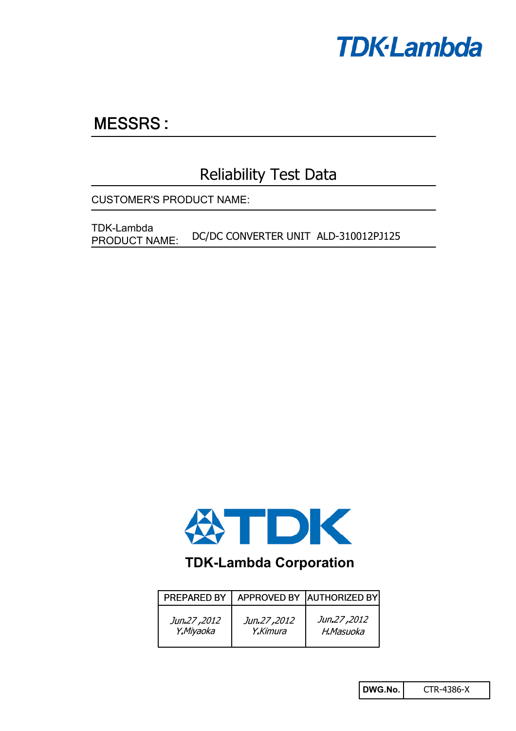

# **MESSRS:**

## Reliability Test Data

CUSTOMER'S PRODUCT NAME:

DC/DC CONVERTER UNIT ALD-310012PJ125 TDK-Lambda PRODUCT NAME:



## **TDK-Lambda Corporation**

| PREPARED BY |             | APPROVED BY AUTHORIZED BY |
|-------------|-------------|---------------------------|
| Jun.27,2012 | Jun.27,2012 | Jun.27,2012               |
| Y.Miyaoka   | Y.Kimura    | H.Masuoka                 |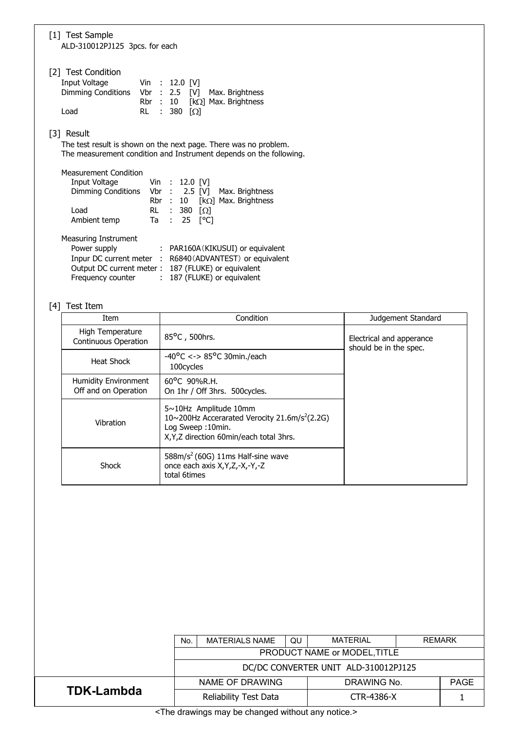| [1] Test Sample<br>ALD-310012PJ125 3pcs. for each                                                                                                    |                                                                                                                      |  |  |  |  |
|------------------------------------------------------------------------------------------------------------------------------------------------------|----------------------------------------------------------------------------------------------------------------------|--|--|--|--|
| [2] Test Condition<br>Input Voltage<br>Dimming Conditions Vbr : 2.5<br>Load                                                                          | Vin : 12.0 [V]<br>Max. Brightness<br>[V]<br>Rbr : 10<br>[ $k\Omega$ ] Max. Brightness<br>380<br>$\Omega$<br>RL<br>÷. |  |  |  |  |
| [3] Result<br>The test result is shown on the next page. There was no problem.<br>The measurement condition and Instrument depends on the following. |                                                                                                                      |  |  |  |  |
| <b>Measurement Condition</b><br>Input Voltage<br>Dimming Conditions                                                                                  | Vin : 12.0 [V]<br>$Vbr$ : 2.5 $[V]$<br>Max. Brightness<br>[ $k\Omega$ ] Max. Brightness<br>Rbr :<br>10               |  |  |  |  |
| Load<br>Ambient temp                                                                                                                                 | 380<br>RL<br>$\Omega$<br>÷<br>25<br>[°C]<br>Ta<br>÷                                                                  |  |  |  |  |

Measuring Instrument

| Power supply      | : PAR160A (KIKUSUI) or equivalent                        |
|-------------------|----------------------------------------------------------|
|                   | Inpur DC current meter : R6840 (ADVANTEST) or equivalent |
|                   | Output DC current meter: 187 (FLUKE) or equivalent       |
| Frequency counter | : 187 (FLUKE) or equivalent                              |
|                   |                                                          |

## [4] Test Item

| Item                                                | Condition                                                                                                                                                     | Judgement Standard                                 |
|-----------------------------------------------------|---------------------------------------------------------------------------------------------------------------------------------------------------------------|----------------------------------------------------|
| High Temperature<br><b>Continuous Operation</b>     | 85°C, 500hrs.                                                                                                                                                 | Electrical and apperance<br>should be in the spec. |
| Heat Shock                                          | $-40^{\circ}$ C <-> 85°C 30min./each<br>100cycles                                                                                                             |                                                    |
| <b>Humidity Environment</b><br>Off and on Operation | $60^{\circ}$ C 90%R.H.<br>On 1hr / Off 3hrs. 500 cycles.                                                                                                      |                                                    |
| Vibration                                           | $5 \sim 10$ Hz Amplitude 10mm<br>10~200Hz Accerarated Verocity 21.6m/s <sup>2</sup> (2.2G)<br>Log Sweep: 10min.<br>X, Y, Z direction 60 min/each total 3 hrs. |                                                    |
| Shock                                               | $588m/s2$ (60G) 11ms Half-sine wave<br>once each axis X, Y, Z, -X, -Y, -Z<br>total 6times                                                                     |                                                    |

|                                                              | <b>MATERIAL</b><br><b>REMARK</b><br><b>MATERIALS NAME</b><br>QU<br>No. |                       |  |                   |  |             |
|--------------------------------------------------------------|------------------------------------------------------------------------|-----------------------|--|-------------------|--|-------------|
|                                                              | PRODUCT NAME or MODEL, TITLE                                           |                       |  |                   |  |             |
|                                                              | DC/DC CONVERTER UNIT ALD-310012PJ125                                   |                       |  |                   |  |             |
|                                                              |                                                                        | NAME OF DRAWING       |  | DRAWING No.       |  | <b>PAGE</b> |
| <b>TDK-Lambda</b>                                            |                                                                        | Reliability Test Data |  | <b>CTR-4386-X</b> |  |             |
| $\sim$ Tho drawings may be changed without any notice $\sim$ |                                                                        |                       |  |                   |  |             |

<The drawings may be changed without any notice.>